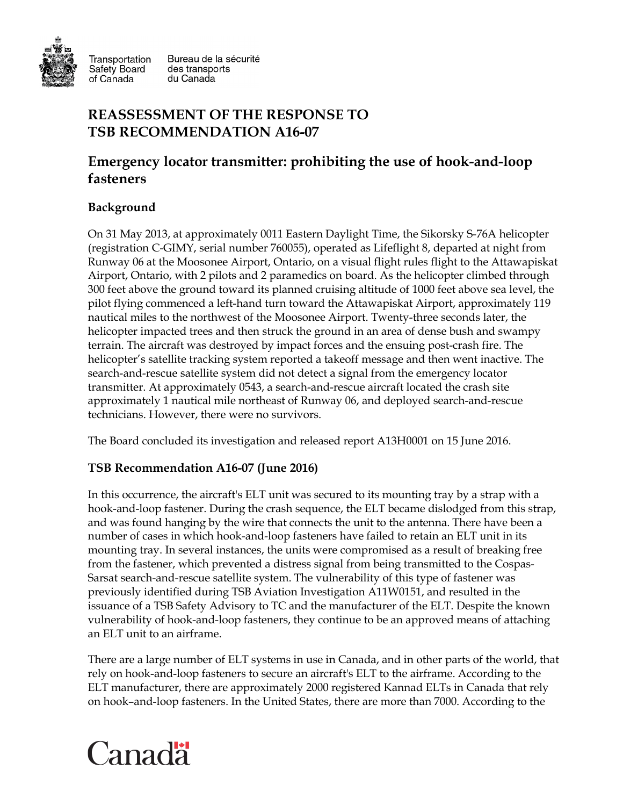

Transportation Safety Board of Canada

Bureau de la sécurité des transports du Canada

## **REASSESSMENT OF THE RESPONSE TO TSB RECOMMENDATION A16-07**

# **Emergency locator transmitter: prohibiting the use of hook-and-loop fasteners**

## **Background**

On 31 May 2013, at approximately 0011 Eastern Daylight Time, the Sikorsky S-76A helicopter (registration C-GIMY, serial number 760055), operated as Lifeflight 8, departed at night from Runway 06 at the Moosonee Airport, Ontario, on a visual flight rules flight to the Attawapiskat Airport, Ontario, with 2 pilots and 2 paramedics on board. As the helicopter climbed through 300 feet above the ground toward its planned cruising altitude of 1000 feet above sea level, the pilot flying commenced a left-hand turn toward the Attawapiskat Airport, approximately 119 nautical miles to the northwest of the Moosonee Airport. Twenty-three seconds later, the helicopter impacted trees and then struck the ground in an area of dense bush and swampy terrain. The aircraft was destroyed by impact forces and the ensuing post-crash fire. The helicopter's satellite tracking system reported a takeoff message and then went inactive. The search-and-rescue satellite system did not detect a signal from the emergency locator transmitter. At approximately 0543, a search-and-rescue aircraft located the crash site approximately 1 nautical mile northeast of Runway 06, and deployed search-and-rescue technicians. However, there were no survivors.

The Board concluded its investigation and released report A13H0001 on 15 June 2016.

#### **TSB Recommendation A16-07 (June 2016)**

In this occurrence, the aircraft's ELT unit was secured to its mounting tray by a strap with a hook-and-loop fastener. During the crash sequence, the ELT became dislodged from this strap, and was found hanging by the wire that connects the unit to the antenna. There have been a number of cases in which hook-and-loop fasteners have failed to retain an ELT unit in its mounting tray. In several instances, the units were compromised as a result of breaking free from the fastener, which prevented a distress signal from being transmitted to the Cospas-Sarsat search-and-rescue satellite system. The vulnerability of this type of fastener was previously identified during TSB Aviation Investigation A11W0151, and resulted in the issuance of a TSB Safety Advisory to TC and the manufacturer of the ELT. Despite the known vulnerability of hook-and-loop fasteners, they continue to be an approved means of attaching an ELT unit to an airframe.

There are a large number of ELT systems in use in Canada, and in other parts of the world, that rely on hook-and-loop fasteners to secure an aircraft's ELT to the airframe. According to the ELT manufacturer, there are approximately 2000 registered Kannad ELTs in Canada that rely on hook–and-loop fasteners. In the United States, there are more than 7000. According to the

# Canadä<sup>r</sup>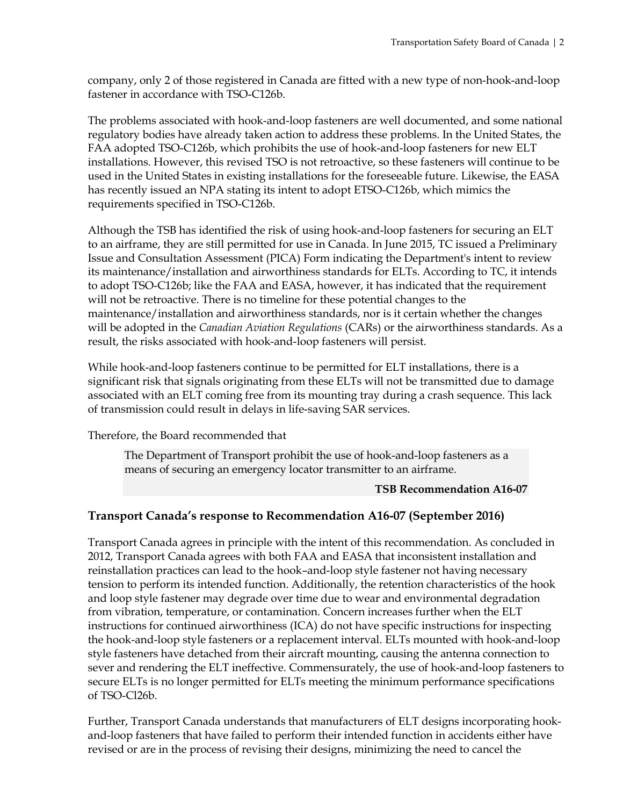company, only 2 of those registered in Canada are fitted with a new type of non-hook-and-loop fastener in accordance with TSO-C126b.

The problems associated with hook-and-loop fasteners are well documented, and some national regulatory bodies have already taken action to address these problems. In the United States, the FAA adopted TSO-C126b, which prohibits the use of hook-and-loop fasteners for new ELT installations. However, this revised TSO is not retroactive, so these fasteners will continue to be used in the United States in existing installations for the foreseeable future. Likewise, the EASA has recently issued an NPA stating its intent to adopt ETSO-C126b, which mimics the requirements specified in TSO-C126b.

Although the TSB has identified the risk of using hook-and-loop fasteners for securing an ELT to an airframe, they are still permitted for use in Canada. In June 2015, TC issued a Preliminary Issue and Consultation Assessment (PICA) Form indicating the Department's intent to review its maintenance/installation and airworthiness standards for ELTs. According to TC, it intends to adopt TSO-C126b; like the FAA and EASA, however, it has indicated that the requirement will not be retroactive. There is no timeline for these potential changes to the maintenance/installation and airworthiness standards, nor is it certain whether the changes will be adopted in the *Canadian Aviation Regulations* (CARs) or the airworthiness standards. As a result, the risks associated with hook-and-loop fasteners will persist.

While hook-and-loop fasteners continue to be permitted for ELT installations, there is a significant risk that signals originating from these ELTs will not be transmitted due to damage associated with an ELT coming free from its mounting tray during a crash sequence. This lack of transmission could result in delays in life-saving SAR services.

Therefore, the Board recommended that

The Department of Transport prohibit the use of hook-and-loop fasteners as a means of securing an emergency locator transmitter to an airframe.

#### **TSB Recommendation A16-07**

#### **Transport Canada's response to Recommendation A16-07 (September 2016)**

Transport Canada agrees in principle with the intent of this recommendation. As concluded in 2012, Transport Canada agrees with both FAA and EASA that inconsistent installation and reinstallation practices can lead to the hook–and-loop style fastener not having necessary tension to perform its intended function. Additionally, the retention characteristics of the hook and loop style fastener may degrade over time due to wear and environmental degradation from vibration, temperature, or contamination. Concern increases further when the ELT instructions for continued airworthiness (ICA) do not have specific instructions for inspecting the hook-and-loop style fasteners or a replacement interval. ELTs mounted with hook-and-loop style fasteners have detached from their aircraft mounting, causing the antenna connection to sever and rendering the ELT ineffective. Commensurately, the use of hook-and-loop fasteners to secure ELTs is no longer permitted for ELTs meeting the minimum performance specifications of TSO-Cl26b.

Further, Transport Canada understands that manufacturers of ELT designs incorporating hookand-loop fasteners that have failed to perform their intended function in accidents either have revised or are in the process of revising their designs, minimizing the need to cancel the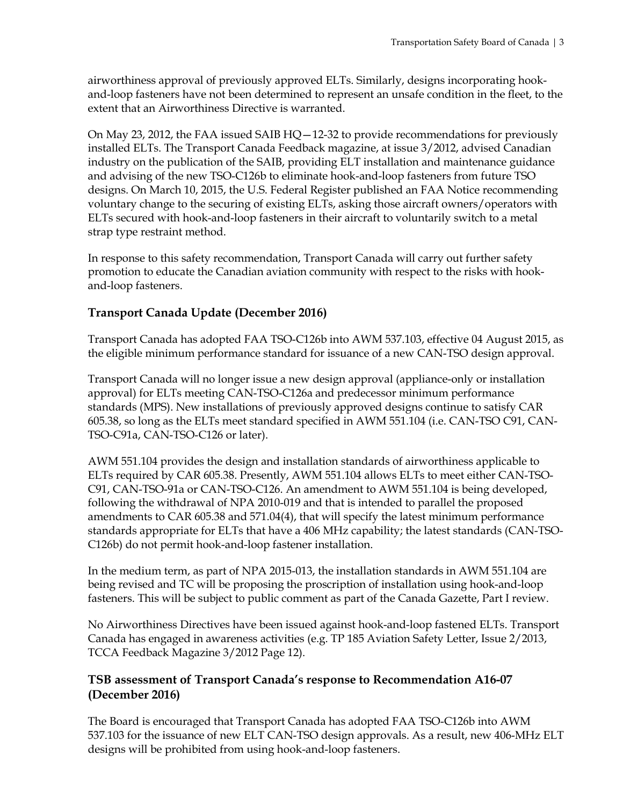airworthiness approval of previously approved ELTs. Similarly, designs incorporating hookand-loop fasteners have not been determined to represent an unsafe condition in the fleet, to the extent that an Airworthiness Directive is warranted.

On May 23, 2012, the FAA issued SAIB  $HQ-12-32$  to provide recommendations for previously installed ELTs. The Transport Canada Feedback magazine, at issue 3/2012, advised Canadian industry on the publication of the SAIB, providing ELT installation and maintenance guidance and advising of the new TSO-C126b to eliminate hook-and-loop fasteners from future TSO designs. On March 10, 2015, the U.S. Federal Register published an FAA Notice recommending voluntary change to the securing of existing ELTs, asking those aircraft owners/operators with ELTs secured with hook-and-loop fasteners in their aircraft to voluntarily switch to a metal strap type restraint method.

In response to this safety recommendation, Transport Canada will carry out further safety promotion to educate the Canadian aviation community with respect to the risks with hookand-loop fasteners.

### **Transport Canada Update (December 2016)**

Transport Canada has adopted FAA TSO-C126b into AWM 537.103, effective 04 August 2015, as the eligible minimum performance standard for issuance of a new CAN-TSO design approval.

Transport Canada will no longer issue a new design approval (appliance-only or installation approval) for ELTs meeting CAN-TSO-C126a and predecessor minimum performance standards (MPS). New installations of previously approved designs continue to satisfy CAR 605.38, so long as the ELTs meet standard specified in AWM 551.104 (i.e. CAN-TSO C91, CAN-TSO-C91a, CAN-TSO-C126 or later).

AWM 551.104 provides the design and installation standards of airworthiness applicable to ELTs required by CAR 605.38. Presently, AWM 551.104 allows ELTs to meet either CAN-TSO-C91, CAN-TSO-91a or CAN-TSO-C126. An amendment to AWM 551.104 is being developed, following the withdrawal of NPA 2010-019 and that is intended to parallel the proposed amendments to CAR 605.38 and 571.04(4), that will specify the latest minimum performance standards appropriate for ELTs that have a 406 MHz capability; the latest standards (CAN-TSO-C126b) do not permit hook-and-loop fastener installation.

In the medium term, as part of NPA 2015-013, the installation standards in AWM 551.104 are being revised and TC will be proposing the proscription of installation using hook-and-loop fasteners. This will be subject to public comment as part of the Canada Gazette, Part I review.

No Airworthiness Directives have been issued against hook-and-loop fastened ELTs. Transport Canada has engaged in awareness activities (e.g. TP 185 Aviation Safety Letter, Issue 2/2013, TCCA Feedback Magazine 3/2012 Page 12).

#### **TSB assessment of Transport Canada's response to Recommendation A16-07 (December 2016)**

The Board is encouraged that Transport Canada has adopted FAA TSO-C126b into AWM 537.103 for the issuance of new ELT CAN-TSO design approvals. As a result, new 406-MHz ELT designs will be prohibited from using hook-and-loop fasteners.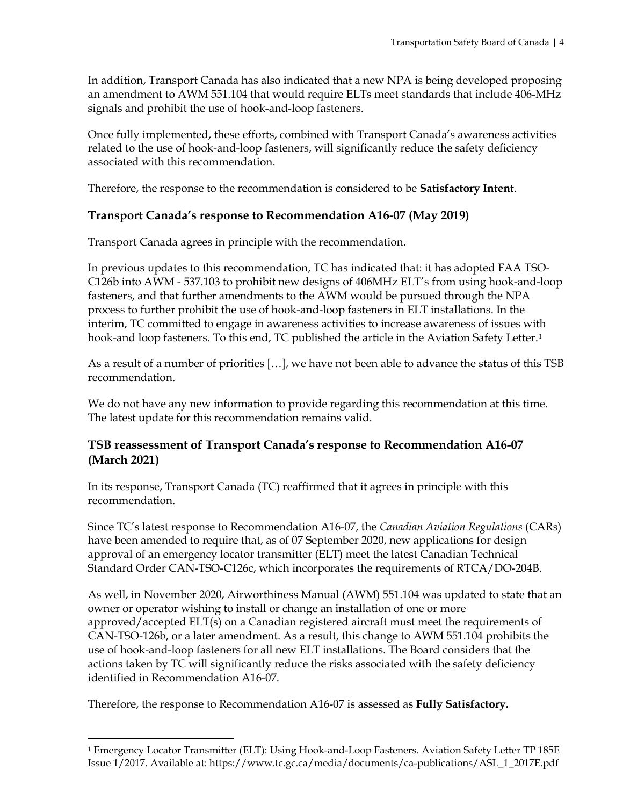In addition, Transport Canada has also indicated that a new NPA is being developed proposing an amendment to AWM 551.104 that would require ELTs meet standards that include 406-MHz signals and prohibit the use of hook-and-loop fasteners.

Once fully implemented, these efforts, combined with Transport Canada's awareness activities related to the use of hook-and-loop fasteners, will significantly reduce the safety deficiency associated with this recommendation.

Therefore, the response to the recommendation is considered to be **Satisfactory Intent**.

#### **Transport Canada's response to Recommendation A16-07 (May 2019)**

Transport Canada agrees in principle with the recommendation.

In previous updates to this recommendation, TC has indicated that: it has adopted FAA TSO-C126b into AWM - 537.103 to prohibit new designs of 406MHz ELT's from using hook-and-loop fasteners, and that further amendments to the AWM would be pursued through the NPA process to further prohibit the use of hook-and-loop fasteners in ELT installations. In the interim, TC committed to engage in awareness activities to increase awareness of issues with hook-and loop fasteners. To this end, TC published the article in the Aviation Safety Letter.<sup>[1](#page-3-0)</sup>

As a result of a number of priorities […], we have not been able to advance the status of this TSB recommendation.

We do not have any new information to provide regarding this recommendation at this time. The latest update for this recommendation remains valid.

#### **TSB reassessment of Transport Canada's response to Recommendation A16-07 (March 2021)**

In its response, Transport Canada (TC) reaffirmed that it agrees in principle with this recommendation.

Since TC's latest response to Recommendation A16-07, the *Canadian Aviation Regulations* (CARs) have been amended to require that, as of 07 September 2020, new applications for design approval of an emergency locator transmitter (ELT) meet the latest Canadian Technical Standard Order CAN-TSO-C126c, which incorporates the requirements of RTCA/DO-204B.

As well, in November 2020, Airworthiness Manual (AWM) 551.104 was updated to state that an owner or operator wishing to install or change an installation of one or more approved/accepted ELT(s) on a Canadian registered aircraft must meet the requirements of CAN-TSO-126b, or a later amendment. As a result, this change to AWM 551.104 prohibits the use of hook-and-loop fasteners for all new ELT installations. The Board considers that the actions taken by TC will significantly reduce the risks associated with the safety deficiency identified in Recommendation A16-07.

Therefore, the response to Recommendation A16-07 is assessed as **Fully Satisfactory.**

<span id="page-3-0"></span> <sup>1</sup> Emergency Locator Transmitter (ELT): Using Hook-and-Loop Fasteners. Aviation Safety Letter TP 185E Issue 1/2017. Available at: https://www.tc.gc.ca/media/documents/ca-publications/ASL\_1\_2017E.pdf